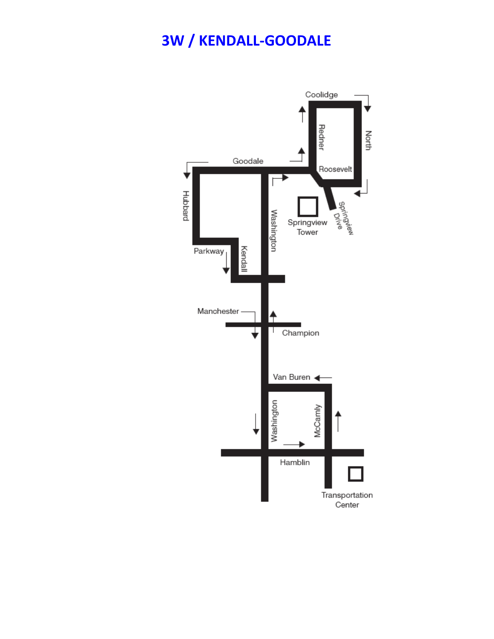## **3W / KENDALL-GOODALE**